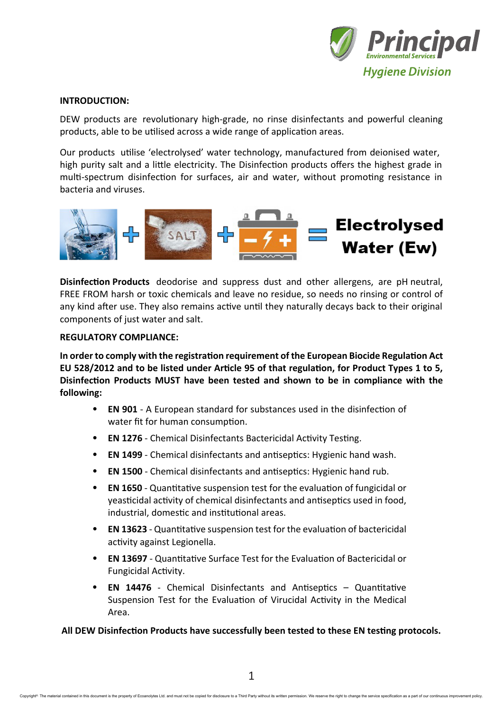

## **INTRODUCTION:**

DEW products are revolutionary high-grade, no rinse disinfectants and powerful cleaning products, able to be utilised across a wide range of application areas.

Our products utilise 'electrolysed' water technology, manufactured from deionised water, high purity salt and a little electricity. The Disinfection products offers the highest grade in multi-spectrum disinfection for surfaces, air and water, without promoting resistance in bacteria and viruses.



**Disinfection Products** deodorise and suppress dust and other allergens, are pH neutral, FREE FROM harsh or toxic chemicals and leave no residue, so needs no rinsing or control of any kind after use. They also remains active until they naturally decays back to their original components of just water and salt.

## **REGULATORY COMPLIANCE:**

**In order to comply with the registration requirement of the European Biocide Regulation Act EU 528/2012 and to be listed under Article 95 of that regulation, for Product Types 1 to 5, Disinfection Products MUST have been tested and shown to be in compliance with the following:**

- **EN 901** A European standard for substances used in the disinfection of water fit for human consumption.
- **EN 1276** Chemical Disinfectants Bactericidal Activity Testing.
- **EN 1499** Chemical disinfectants and antiseptics: Hygienic hand wash.
- **EN 1500** Chemical disinfectants and antiseptics: Hygienic hand rub.
- **EN 1650** Quantitative suspension test for the evaluation of fungicidal or yeasticidal activity of chemical disinfectants and antiseptics used in food, industrial, domestic and institutional areas.
- **EN 13623** Quantitative suspension test for the evaluation of bactericidal activity against Legionella.
- **EN 13697** Quantitative Surface Test for the Evaluation of Bactericidal or Fungicidal Activity.
- **EN 14476** Chemical Disinfectants and Antiseptics Quantitative Suspension Test for the Evaluation of Virucidal Activity in the Medical Area.

**All DEW Disinfection Products have successfully been tested to these EN testing protocols.**